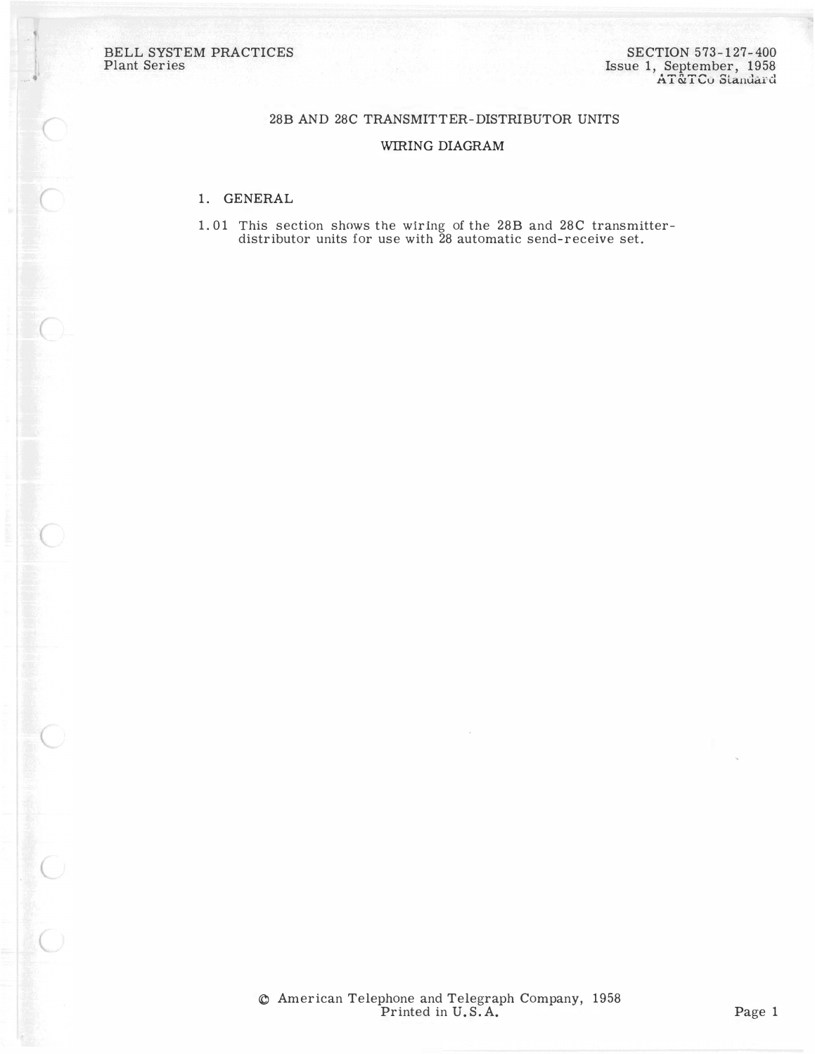BELL SYSTEM PRACTICES Plant Series

 $\bigcirc$ 

 $\bigcirc$ 

 $\begin{array}{c}\n\bullet \\
\bullet \\
\bullet\n\end{array}$ 

## 28B AND 28C TRANSMITTER-DISTRIBUTOR UNITS

## WIRING DIAGRAM

## 1. GENERAL

1. 01 This section shows the w1rmg of the 28B and 28C transmitterdistributor units for use with 28 automatic send-receive set.